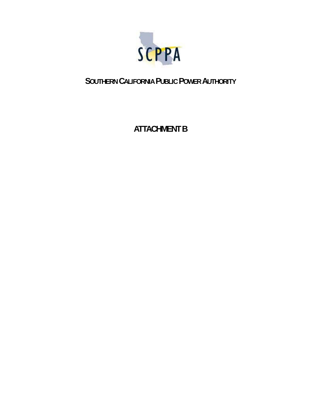

## **SOUTHERN CALIFORNIA PUBLIC POWER AUTHORITY**

## **ATTACHMENT B**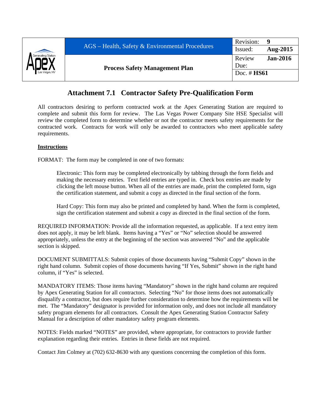

## **Attachment 7.1 Contractor Safety Pre-Qualification Form**

All contractors desiring to perform contracted work at the Apex Generating Station are required to complete and submit this form for review. The Las Vegas Power Company Site HSE Specialist will review the completed form to determine whether or not the contractor meets safety requirements for the contracted work. Contracts for work will only be awarded to contractors who meet applicable safety requirements.

## **Instructions**

FORMAT: The form may be completed in one of two formats:

Electronic: This form may be completed electronically by tabbing through the form fields and making the necessary entries. Text field entries are typed in. Check box entries are made by clicking the left mouse button. When all of the entries are made, print the completed form, sign the certification statement, and submit a copy as directed in the final section of the form.

Hard Copy: This form may also be printed and completed by hand. When the form is completed, sign the certification statement and submit a copy as directed in the final section of the form.

REQUIRED INFORMATION: Provide all the information requested, as applicable. If a text entry item does not apply, it may be left blank. Items having a "Yes" or "No" selection should be answered appropriately, unless the entry at the beginning of the section was answered "No" and the applicable section is skipped.

DOCUMENT SUBMITTALS: Submit copies of those documents having "Submit Copy" shown in the right hand column. Submit copies of those documents having "If Yes, Submit" shown in the right hand column, if "Yes" is selected.

MANDATORY ITEMS: Those items having "Mandatory" shown in the right hand column are required by Apex Generating Station for all contractors. Selecting "No" for those items does not automatically disqualify a contractor, but does require further consideration to determine how the requirements will be met. The "Mandatory" designator is provided for information only, and does not include all mandatory safety program elements for all contractors. Consult the Apex Generating Station Contractor Safety Manual for a description of other mandatory safety program elements.

NOTES: Fields marked "NOTES" are provided, where appropriate, for contractors to provide further explanation regarding their entries. Entries in these fields are not required.

Contact Jim Colmey at (702) 632-8630 with any questions concerning the completion of this form.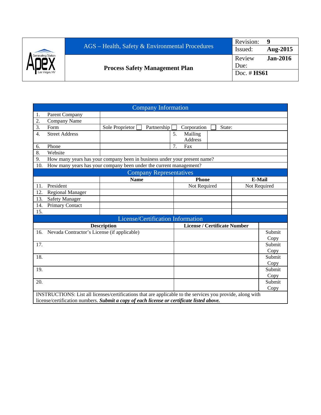

|                  | <b>Company Information</b>                                                                                         |                                                                           |                                     |        |  |              |  |
|------------------|--------------------------------------------------------------------------------------------------------------------|---------------------------------------------------------------------------|-------------------------------------|--------|--|--------------|--|
| 1.               | Parent Company                                                                                                     |                                                                           |                                     |        |  |              |  |
| $\overline{2}$ . | Company Name                                                                                                       |                                                                           |                                     |        |  |              |  |
| 3.               | Form                                                                                                               | Partnership<br>Sole Proprietor                                            | Corporation                         | State: |  |              |  |
| $\overline{4}$ . | <b>Street Address</b>                                                                                              |                                                                           | 5.<br>Mailing                       |        |  |              |  |
|                  |                                                                                                                    |                                                                           | <b>Address</b>                      |        |  |              |  |
| 6.               | Phone                                                                                                              |                                                                           | Fax<br>7.                           |        |  |              |  |
| 8.               | Website                                                                                                            |                                                                           |                                     |        |  |              |  |
| 9.               |                                                                                                                    | How many years has your company been in business under your present name? |                                     |        |  |              |  |
| 10.              |                                                                                                                    | How many years has your company been under the current management?        |                                     |        |  |              |  |
|                  |                                                                                                                    | <b>Company Representatives</b>                                            |                                     |        |  |              |  |
|                  |                                                                                                                    | <b>Name</b>                                                               | <b>Phone</b>                        |        |  | E-Mail       |  |
| 11.              | President                                                                                                          |                                                                           | Not Required                        |        |  | Not Required |  |
| 12.              | <b>Regional Manager</b>                                                                                            |                                                                           |                                     |        |  |              |  |
| 13.              | <b>Safety Manager</b>                                                                                              |                                                                           |                                     |        |  |              |  |
| 14.              | Primary Contact                                                                                                    |                                                                           |                                     |        |  |              |  |
| 15.              |                                                                                                                    |                                                                           |                                     |        |  |              |  |
|                  |                                                                                                                    | License/Certification Information                                         |                                     |        |  |              |  |
|                  |                                                                                                                    | <b>Description</b>                                                        | <b>License / Certificate Number</b> |        |  |              |  |
| 16.              | Nevada Contractor's License (if applicable)                                                                        |                                                                           |                                     |        |  | Submit       |  |
|                  |                                                                                                                    |                                                                           |                                     |        |  | Copy         |  |
| 17.              |                                                                                                                    |                                                                           |                                     |        |  | Submit       |  |
|                  |                                                                                                                    |                                                                           |                                     |        |  | Copy         |  |
| 18.              |                                                                                                                    |                                                                           |                                     |        |  | Submit       |  |
|                  |                                                                                                                    |                                                                           |                                     |        |  | Copy         |  |
| 19.              |                                                                                                                    |                                                                           |                                     |        |  | Submit       |  |
|                  |                                                                                                                    |                                                                           |                                     |        |  | Copy         |  |
| 20.              |                                                                                                                    |                                                                           |                                     |        |  | Submit       |  |
|                  | Copy<br>INSTRUCTIONS: List all licenses/certifications that are applicable to the services you provide, along with |                                                                           |                                     |        |  |              |  |
|                  |                                                                                                                    |                                                                           |                                     |        |  |              |  |
|                  | license/certification numbers. Submit a copy of each license or certificate listed above.                          |                                                                           |                                     |        |  |              |  |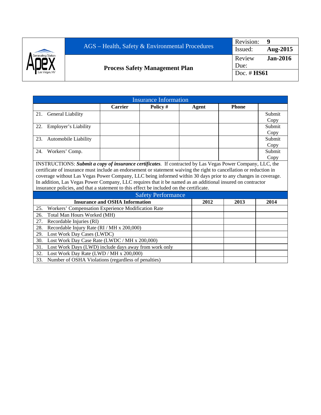|                    |                                                   | Revision:      |                 |
|--------------------|---------------------------------------------------|----------------|-----------------|
|                    | $AGS$ – Health, Safety & Environmental Procedures | Issued:        | Aug-2015        |
| Generating Station | <b>Process Safety Management Plan</b>             | Review<br>Due: | <b>Jan-2016</b> |
| Las Vegas, NV      |                                                   |                | Doc. $\#$ HS61  |

|                                                                                                                     | <b>Insurance Information</b>                                                                               |          |  |       |              |        |  |
|---------------------------------------------------------------------------------------------------------------------|------------------------------------------------------------------------------------------------------------|----------|--|-------|--------------|--------|--|
|                                                                                                                     | <b>Carrier</b>                                                                                             | Policy # |  | Agent | <b>Phone</b> |        |  |
| 21. General Liability                                                                                               |                                                                                                            |          |  |       |              | Submit |  |
|                                                                                                                     |                                                                                                            |          |  |       |              | Copy   |  |
| Employer's Liability<br>22.                                                                                         |                                                                                                            |          |  |       |              | Submit |  |
|                                                                                                                     |                                                                                                            |          |  |       |              | Copy   |  |
| 23.<br><b>Automobile Liability</b>                                                                                  |                                                                                                            |          |  |       |              | Submit |  |
|                                                                                                                     |                                                                                                            |          |  |       |              | Copy   |  |
| 24.<br>Workers' Comp.                                                                                               |                                                                                                            |          |  |       |              | Submit |  |
|                                                                                                                     |                                                                                                            |          |  |       |              | Copy   |  |
| INSTRUCTIONS: Submit a copy of insurance certificates. If contracted by Las Vegas Power Company, LLC, the           |                                                                                                            |          |  |       |              |        |  |
| certificate of insurance must include an endorsement or statement waiving the right to cancellation or reduction in |                                                                                                            |          |  |       |              |        |  |
| coverage without Las Vegas Power Company, LLC being informed within 30 days prior to any changes in coverage.       |                                                                                                            |          |  |       |              |        |  |
|                                                                                                                     | In addition, Las Vegas Power Company, LLC requires that it be named as an additional insured on contractor |          |  |       |              |        |  |
| insurance policies, and that a statement to this effect be included on the certificate.                             |                                                                                                            |          |  |       |              |        |  |
| <b>Safety Performance</b>                                                                                           |                                                                                                            |          |  |       |              |        |  |
|                                                                                                                     | <b>Insurance and OSHA Information</b><br>2012<br>2013<br>2014                                              |          |  |       |              |        |  |

|     | Safety Performance                                      |      |      |      |
|-----|---------------------------------------------------------|------|------|------|
|     | <b>Insurance and OSHA Information</b>                   | 2012 | 2013 | 2014 |
|     | 25. Workers' Compensation Experience Modification Rate  |      |      |      |
| 26. | Total Man Hours Worked (MH)                             |      |      |      |
| 27. | Recordable Injuries (RI)                                |      |      |      |
| 28. | Recordable Injury Rate (RI / MH x 200,000)              |      |      |      |
| 29. | Lost Work Day Cases (LWDC)                              |      |      |      |
| 30. | Lost Work Day Case Rate (LWDC / MH x 200,000)           |      |      |      |
| 31. | Lost Work Days (LWD) include days away from work only   |      |      |      |
| 32. | Lost Work Day Rate (LWD / MH x 200,000)                 |      |      |      |
|     | 33. Number of OSHA Violations (regardless of penalties) |      |      |      |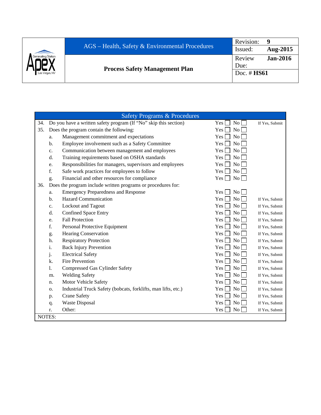|                    |                                                   | Revision:     | q               |
|--------------------|---------------------------------------------------|---------------|-----------------|
|                    | $AGS$ – Health, Safety & Environmental Procedures | Issued:       | Aug-2015        |
| Generating Station |                                                   | Review        | <b>Jan-2016</b> |
|                    | <b>Process Safety Management Plan</b>             | Due:          |                 |
| Las Vegas, NV      |                                                   | Doc. $#$ HS61 |                 |
|                    |                                                   |               |                 |

|     |               | <b>Safety Programs &amp; Procedures</b>                          |                       |                |
|-----|---------------|------------------------------------------------------------------|-----------------------|----------------|
| 34. |               | Do you have a written safety program (If "No" skip this section) | Yes<br>No             | If Yes, Submit |
| 35. |               | Does the program contain the following:                          | No<br>Yes             |                |
|     | a.            | Management commitment and expectations                           | No<br>Yes             |                |
|     | b.            | Employee involvement such as a Safety Committee                  | No<br>Yes             |                |
|     | c.            | Communication between management and employees                   | No<br>Yes             |                |
|     | d.            | Training requirements based on OSHA standards                    | N <sub>o</sub><br>Yes |                |
|     | e.            | Responsibilities for managers, supervisors and employees         | No<br>Yes             |                |
|     | f.            | Safe work practices for employees to follow                      | No<br>Yes             |                |
|     | g.            | Financial and other resources for compliance                     | No<br>Yes             |                |
| 36. |               | Does the program include written programs or procedures for:     |                       |                |
|     | a.            | <b>Emergency Preparedness and Response</b>                       | Yes  <br><b>No</b>    |                |
|     | b.            | <b>Hazard Communication</b>                                      | No<br>Yes             | If Yes, Submit |
|     | $c_{\cdot}$   | Lockout and Tagout                                               | N <sub>o</sub><br>Yes | If Yes, Submit |
|     | d.            | <b>Confined Space Entry</b>                                      | N <sub>o</sub><br>Yes | If Yes, Submit |
|     | e.            | <b>Fall Protection</b>                                           | N <sub>o</sub><br>Yes | If Yes, Submit |
|     | f.            | Personal Protective Equipment                                    | No<br>Yes             | If Yes, Submit |
|     | g.            | <b>Hearing Conservation</b>                                      | No<br><b>Yes</b>      | If Yes, Submit |
|     | h.            | <b>Respiratory Protection</b>                                    | No<br>Yes             | If Yes, Submit |
|     | i.            | <b>Back Injury Prevention</b>                                    | N <sub>o</sub><br>Yes | If Yes, Submit |
|     | j.            | <b>Electrical Safety</b>                                         | No<br>Yes             | If Yes, Submit |
|     | k.            | Fire Prevention                                                  | Yes<br>N <sub>o</sub> | If Yes, Submit |
|     | 1.            | <b>Compressed Gas Cylinder Safety</b>                            | No<br>Yes             | If Yes, Submit |
|     | m.            | <b>Welding Safety</b>                                            | N <sub>o</sub><br>Yes | If Yes, Submit |
|     | n.            | Motor Vehicle Safety                                             | No<br>Yes             | If Yes, Submit |
|     | 0.            | Industrial Truck Safety (bobcats, forklifts, man lifts, etc.)    | No<br><b>Yes</b>      | If Yes, Submit |
|     | p.            | <b>Crane Safety</b>                                              | No<br>Yes             | If Yes, Submit |
|     | q.            | <b>Waste Disposal</b>                                            | No<br><b>Yes</b>      | If Yes, Submit |
|     | r.            | Other:                                                           | No<br>Yes             | If Yes, Submit |
|     | <b>NOTES:</b> |                                                                  |                       |                |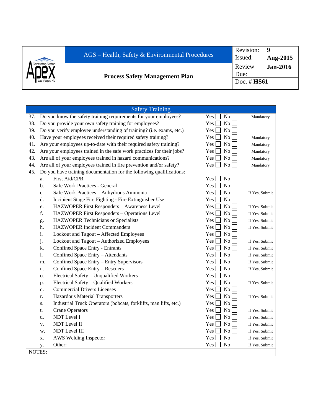| <b>Aug-2015</b> |
|-----------------|
| <b>Jan-2016</b> |
|                 |
|                 |
|                 |

|     |                                                                                           | <b>Safety Training</b>                                                |                                    |                |
|-----|-------------------------------------------------------------------------------------------|-----------------------------------------------------------------------|------------------------------------|----------------|
| 37. |                                                                                           | Do you know the safety training requirements for your employees?      | No<br>Yes <sub>1</sub>             | Mandatory      |
| 38. |                                                                                           | Do you provide your own safety training for employees?                | N <sub>0</sub><br>Yes.             |                |
| 39. | Do you verify employee understanding of training? (i.e. exams, etc.)<br><b>No</b><br>Yes. |                                                                       |                                    |                |
| 40. |                                                                                           | Have your employees received their required safety training?          | N <sub>o</sub><br>Yes              | Mandatory      |
| 41. |                                                                                           | Are your employees up-to-date with their required safety training?    | N <sub>o</sub><br>Yes <sub>1</sub> | Mandatory      |
| 42. |                                                                                           | Are your employees trained in the safe work practices for their jobs? | No<br>Yes                          | Mandatory      |
| 43. |                                                                                           | Are all of your employees trained in hazard communications?           | $Yes$ [<br>No                      | Mandatory      |
| 44. |                                                                                           | Are all of your employees trained in fire prevention and/or safety?   | $Yes \perp$<br>No                  | Mandatory      |
| 45. |                                                                                           | Do you have training documentation for the following qualifications:  |                                    |                |
|     | a.                                                                                        | First Aid/CPR                                                         | Yes  <br>N <sub>0</sub>            |                |
|     | b.                                                                                        | Safe Work Practices - General                                         | N <sub>o</sub><br>Yes              |                |
|     | c.                                                                                        | Safe Work Practices - Anhydrous Ammonia                               | N <sub>o</sub><br>Yes              | If Yes, Submit |
|     | d.                                                                                        | Incipient Stage Fire Fighting - Fire Extinguisher Use                 | No<br>Yes                          |                |
|     | e.                                                                                        | HAZWOPER First Responders - Awareness Level                           | No<br>Yes                          | If Yes, Submit |
|     | f.                                                                                        | HAZWOPER First Responders - Operations Level                          | N <sub>o</sub><br>Yes              | If Yes, Submit |
|     | g.                                                                                        | <b>HAZWOPER Technicians or Specialists</b>                            | N <sub>o</sub><br>Yes              | If Yes, Submit |
|     | h.                                                                                        | <b>HAZWOPER Incident Commanders</b>                                   | N <sub>o</sub><br>Yes              | If Yes, Submit |
|     | i.                                                                                        | Lockout and Tagout - Affected Employees                               | N <sub>o</sub><br>Yes              |                |
|     | j.                                                                                        | Lockout and Tagout - Authorized Employees                             | N <sub>o</sub><br>Yes l            | If Yes, Submit |
|     | k.                                                                                        | Confined Space Entry - Entrants                                       | N <sub>o</sub><br>Yes l            | If Yes, Submit |
|     | 1.                                                                                        | Confined Space Entry - Attendants                                     | $\rm No$<br>Yes                    | If Yes, Submit |
|     | m.                                                                                        | Confined Space Entry - Entry Supervisors                              | $Yes$    <br>No.                   | If Yes, Submit |
|     | n.                                                                                        | Confined Space Entry - Rescuers                                       | Yes L<br>N <sub>0</sub>            | If Yes, Submit |
|     | 0.                                                                                        | Electrical Safety - Unqualified Workers                               | <b>No</b><br>Yes                   |                |
|     | p.                                                                                        | Electrical Safety - Qualified Workers                                 | <b>No</b><br>Yes                   | If Yes, Submit |
|     | q.                                                                                        | <b>Commercial Drivers Licenses</b>                                    | N <sub>o</sub><br>Yes              |                |
|     | r.                                                                                        | Hazardous Material Transporters                                       | No<br>Yes                          | If Yes, Submit |
|     | S.                                                                                        | Industrial Truck Operators (bobcats, forklifts, man lifts, etc.)      | No<br><b>Yes</b>                   |                |
|     | t.                                                                                        | <b>Crane Operators</b>                                                | N <sub>o</sub><br>Yes              | If Yes, Submit |
|     | u.                                                                                        | <b>NDT</b> Level I                                                    | <b>Yes</b><br>N <sub>o</sub>       | If Yes, Submit |
|     | V.                                                                                        | NDT Level II                                                          | N <sub>o</sub><br>Yes.             | If Yes, Submit |
|     | w.                                                                                        | NDT Level III                                                         | N <sub>o</sub><br>Yes.             | If Yes, Submit |
|     | X.                                                                                        | AWS Welding Inspector                                                 | N <sub>o</sub><br>Yes              | If Yes, Submit |
|     | y.                                                                                        | Other:                                                                | $\rm No$<br>Yes                    | If Yes, Submit |
|     | NOTES:                                                                                    |                                                                       |                                    |                |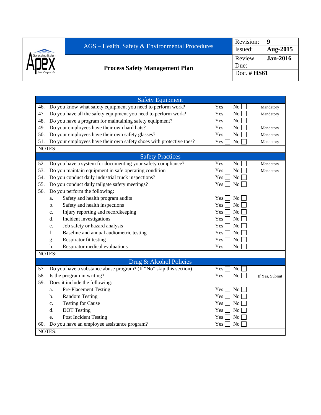|               | $AGS$ – Health, Safety & Environmental Procedures | Revision:<br>Issued: | Aug-2015        |
|---------------|---------------------------------------------------|----------------------|-----------------|
|               | <b>Process Safety Management Plan</b>             | Review<br>Due:       | <b>Jan-2016</b> |
| Las Vegas, NV |                                                   | Doc. $\#$ HS61       |                 |

|     | <b>Safety Equipment</b>                                             |                         |                |
|-----|---------------------------------------------------------------------|-------------------------|----------------|
| 46. | Do you know what safety equipment you need to perform work?         | No<br>Yes               | Mandatory      |
| 47. | Do you have all the safety equipment you need to perform work?      | No<br>Yes               | Mandatory      |
| 48. | Do you have a program for maintaining safety equipment?             | Yes <sup> </sup><br>No  |                |
| 49. | Do your employees have their own hard hats?                         | No<br>Yes               | Mandatory      |
| 50. | Do your employees have their own safety glasses?                    | No<br>Yes               | Mandatory      |
| 51. | Do your employees have their own safety shoes with protective toes? | No<br>Yes               | Mandatory      |
|     | NOTES:                                                              |                         |                |
|     | <b>Safety Practices</b>                                             |                         |                |
| 52. | Do you have a system for documenting your safety compliance?        | No<br>Yes               | Mandatory      |
| 53. | Do you maintain equipment in safe operating condition               | No<br>Yes               | Mandatory      |
| 54. | Do you conduct daily industrial truck inspections?                  | No<br>Yes               |                |
| 55. | Do you conduct daily tailgate safety meetings?                      | No<br>Yes               |                |
| 56. | Do you perform the following:                                       |                         |                |
|     | Safety and health program audits<br>a.                              | No<br>Yes               |                |
|     | Safety and health inspections<br>b.                                 | N <sub>o</sub><br>Yes   |                |
|     | Injury reporting and recordkeeping<br>c.                            | No<br>Yes               |                |
|     | Incident investigations<br>d.                                       | N <sub>o</sub><br>Yes   |                |
|     | Job safety or hazard analysis<br>e.                                 | Yes<br>N <sub>o</sub>   |                |
|     | Baseline and annual audiometric testing<br>f.                       | Yes  <br>N <sub>0</sub> |                |
|     | Respirator fit testing<br>g.                                        | No<br>Yes               |                |
|     | Respirator medical evaluations<br>h.                                | No<br>Yes               |                |
|     | NOTES:                                                              |                         |                |
|     | Drug & Alcohol Policies                                             |                         |                |
| 57. | Do you have a substance abuse program? (If "No" skip this section)  | Yes<br>$\rm No$         |                |
| 58. | Is the program in writing?                                          | N <sub>o</sub><br>Yes   | If Yes, Submit |
| 59. | Does it include the following:                                      |                         |                |
|     | <b>Pre-Placement Testing</b><br>a.                                  | Yes<br>No               |                |
|     | <b>Random Testing</b><br>b.                                         | N <sub>o</sub><br>Yes   |                |
|     | <b>Testing for Cause</b><br>$C_{\star}$                             | <b>No</b><br>Yes        |                |
|     | <b>DOT</b> Testing<br>d.                                            | <b>No</b><br>Yes        |                |
|     | Post Incident Testing<br>e.                                         | No<br>Yes               |                |
| 60. | Do you have an employee assistance program?                         | No<br>Yes               |                |
|     | <b>NOTES:</b>                                                       |                         |                |